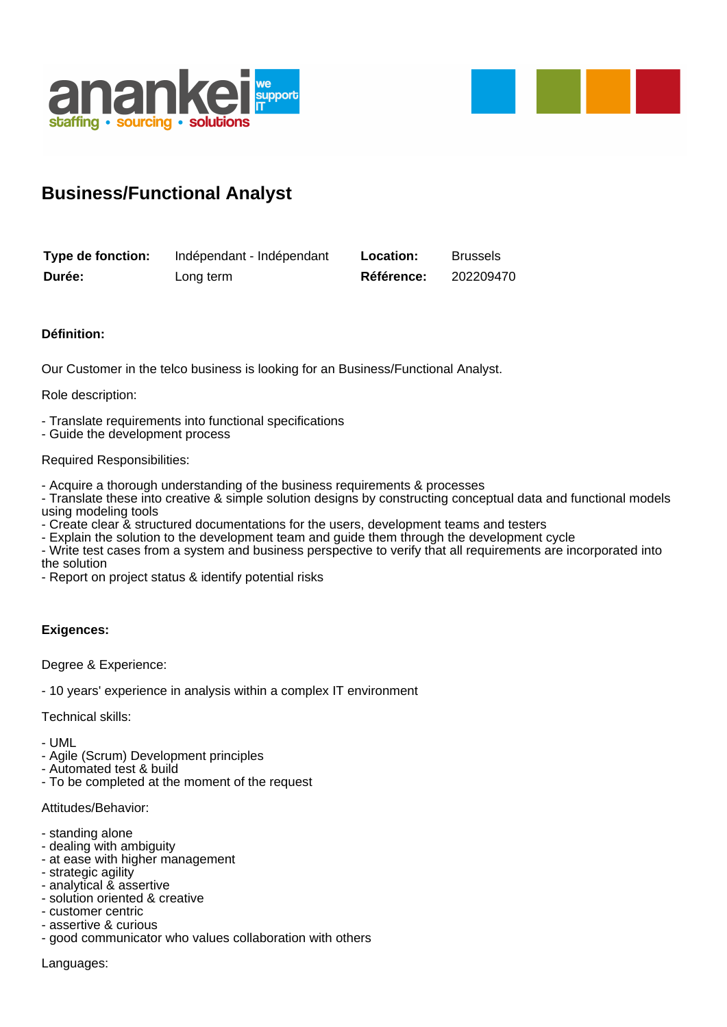



## **Business/Functional Analyst**

| Type de fonction: | Indépendant - Indépendant | <b>Location:</b> | <b>Brussels</b> |
|-------------------|---------------------------|------------------|-----------------|
| Durée:            | Long term                 | Référence:       | 202209470       |

## **Définition:**

Our Customer in the telco business is looking for an Business/Functional Analyst.

Role description:

- Translate requirements into functional specifications
- Guide the development process

#### Required Responsibilities:

- Acquire a thorough understanding of the business requirements & processes
- Translate these into creative & simple solution designs by constructing conceptual data and functional models using modeling tools
- Create clear & structured documentations for the users, development teams and testers
- Explain the solution to the development team and guide them through the development cycle
- Write test cases from a system and business perspective to verify that all requirements are incorporated into the solution
- Report on project status & identify potential risks

## **Exigences:**

#### Degree & Experience:

- 10 years' experience in analysis within a complex IT environment

Technical skills:

- UML

- Agile (Scrum) Development principles
- Automated test & build - To be completed at the moment of the request
- 

# Attitudes/Behavior:

- standing alone
- dealing with ambiguity
- at ease with higher management
- strategic agility
- analytical & assertive
- solution oriented & creative
- customer centric
- assertive & curious
- good communicator who values collaboration with others

Languages: